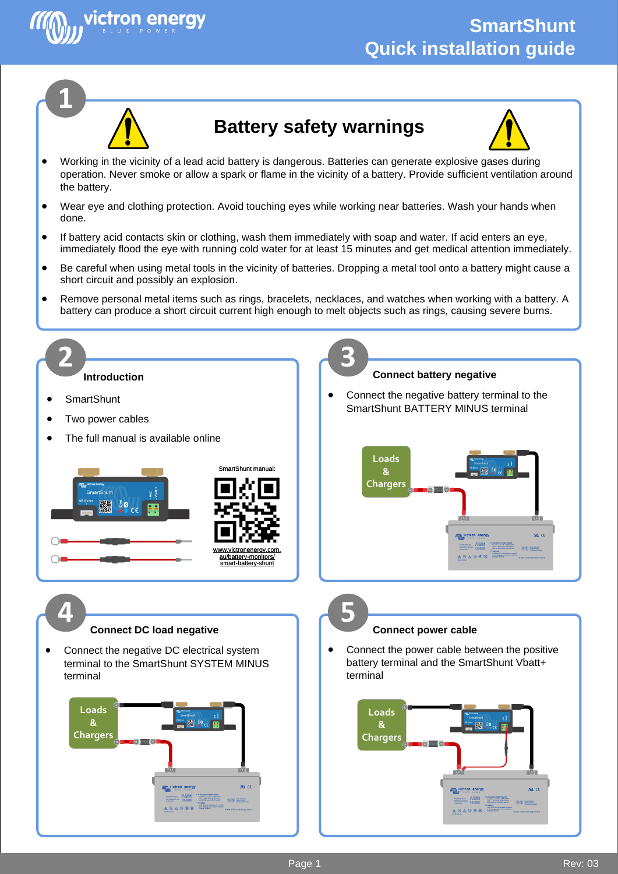



victron enerav

## **Battery safety warnings**

- Working in the vicinity of a lead acid battery is dangerous. Batteries can generate explosive gases during operation. Never smoke or allow a spark or flame in the vicinity of a battery. Provide sufficient ventilation around the battery.
- Wear eye and clothing protection. Avoid touching eyes while working near batteries. Wash your hands when done.
- If battery acid contacts skin or clothing, wash them immediately with soap and water. If acid enters an eye, immediately flood the eye with running cold water for at least 15 minutes and get medical attention immediately.
- Be careful when using metal tools in the vicinity of batteries. Dropping a metal tool onto a battery might cause a short circuit and possibly an explosion.
- Remove personal metal items such as rings, bracelets, necklaces, and watches when working with a battery. A battery can produce a short circuit current high enough to melt objects such as rings, causing severe burns.